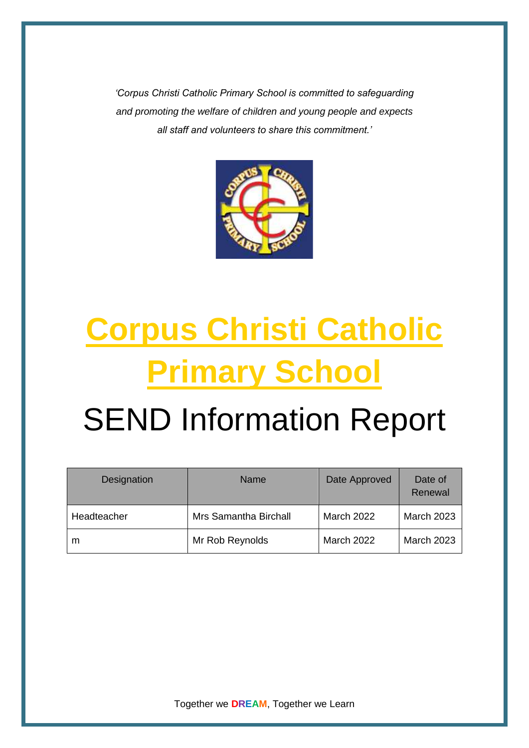*'Corpus Christi Catholic Primary School is committed to safeguarding and promoting the welfare of children and young people and expects all staff and volunteers to share this commitment.'*



# **Corpus Christi Catholic Primary School**

# SEND Information Report

| Designation | Name                  | Date Approved     | Date of<br>Renewal |
|-------------|-----------------------|-------------------|--------------------|
| Headteacher | Mrs Samantha Birchall | <b>March 2022</b> | <b>March 2023</b>  |
| m           | Mr Rob Reynolds       | <b>March 2022</b> | <b>March 2023</b>  |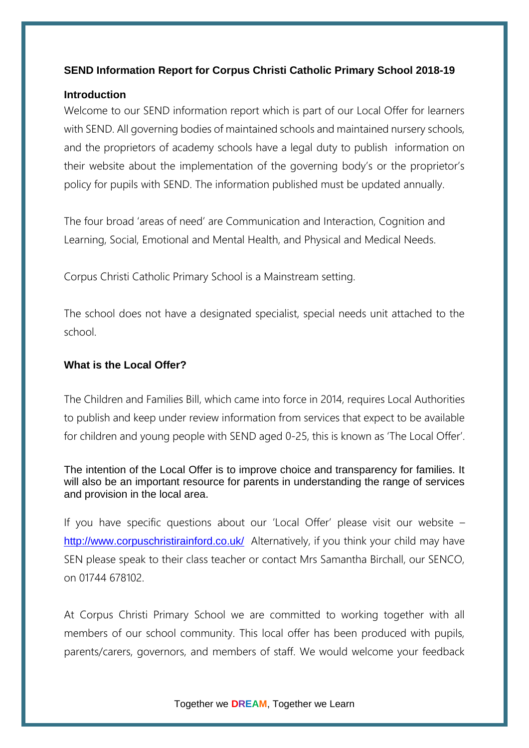# **SEND Information Report for Corpus Christi Catholic Primary School 2018-19**

# **Introduction**

Welcome to our SEND information report which is part of our Local Offer for learners with SEND. All governing bodies of maintained schools and maintained nursery schools, and the proprietors of academy schools have a legal duty to publish information on their website about the implementation of the governing body's or the proprietor's policy for pupils with SEND. The information published must be updated annually.

The four broad 'areas of need' are Communication and Interaction, Cognition and Learning, Social, Emotional and Mental Health, and Physical and Medical Needs.

Corpus Christi Catholic Primary School is a Mainstream setting.

The school does not have a designated specialist, special needs unit attached to the school.

# **What is the Local Offer?**

The Children and Families Bill, which came into force in 2014, requires Local Authorities to publish and keep under review information from services that expect to be available for children and young people with SEND aged 0-25, this is known as 'The Local Offer'.

The intention of the Local Offer is to improve choice and transparency for families. It will also be an important resource for parents in understanding the range of services and provision in the local area.

If you have specific questions about our 'Local Offer' please visit our website – <http://www.corpuschristirainford.co.uk/>Alternatively, if you think your child may have SEN please speak to their class teacher or contact Mrs Samantha Birchall, our SENCO, on 01744 678102.

At Corpus Christi Primary School we are committed to working together with all members of our school community. This local offer has been produced with pupils, parents/carers, governors, and members of staff. We would welcome your feedback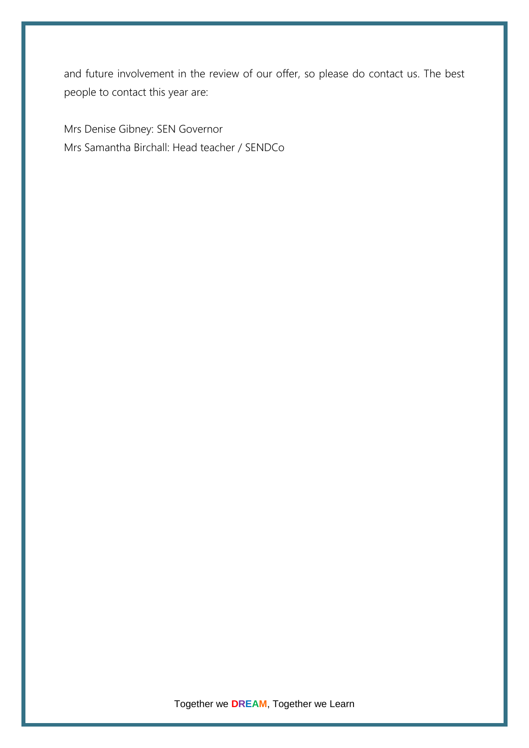and future involvement in the review of our offer, so please do contact us. The best people to contact this year are:

Mrs Denise Gibney: SEN Governor Mrs Samantha Birchall: Head teacher / SENDCo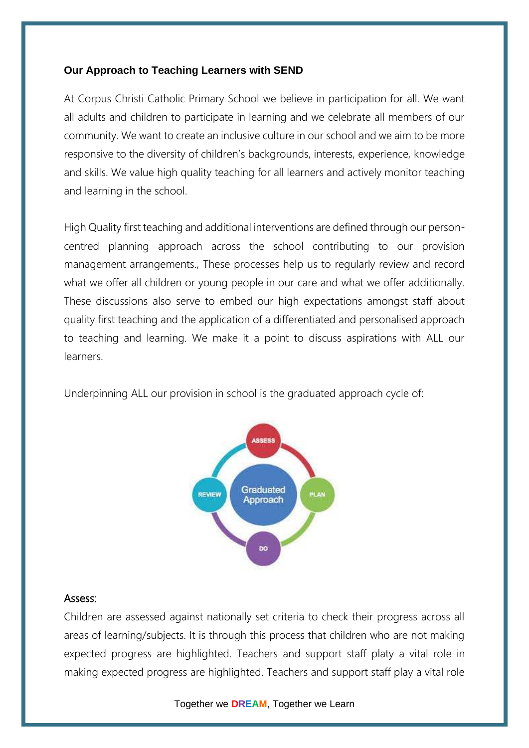#### **Our Approach to Teaching Learners with SEND**

At Corpus Christi Catholic Primary School we believe in participation for all. We want all adults and children to participate in learning and we celebrate all members of our community. We want to create an inclusive culture in our school and we aim to be more responsive to the diversity of children's backgrounds, interests, experience, knowledge and skills. We value high quality teaching for all learners and actively monitor teaching and learning in the school.

High Quality first teaching and additional interventions are defined through our personcentred planning approach across the school contributing to our provision management arrangements., These processes help us to regularly review and record what we offer all children or young people in our care and what we offer additionally. These discussions also serve to embed our high expectations amongst staff about quality first teaching and the application of a differentiated and personalised approach to teaching and learning. We make it a point to discuss aspirations with ALL our learners.

Underpinning ALL our provision in school is the graduated approach cycle of:



#### Assess:

Children are assessed against nationally set criteria to check their progress across all areas of learning/subjects. It is through this process that children who are not making expected progress are highlighted. Teachers and support staff platy a vital role in making expected progress are highlighted. Teachers and support staff play a vital role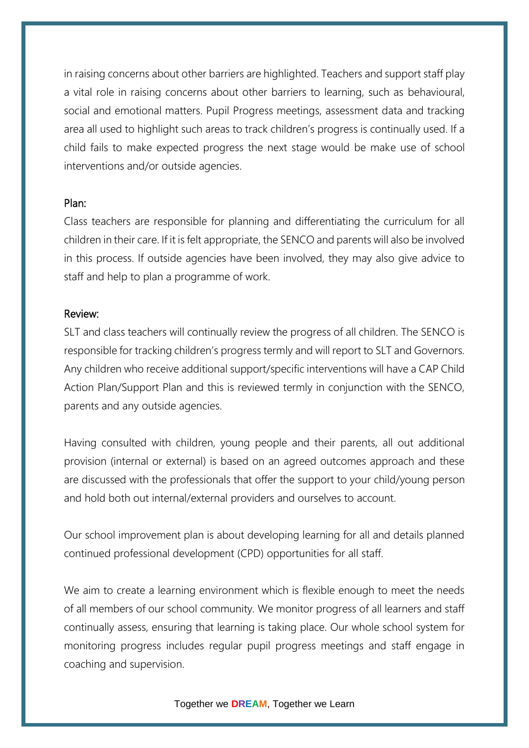in raising concerns about other barriers are highlighted. Teachers and support staff play a vital role in raising concerns about other barriers to learning, such as behavioural, social and emotional matters. Pupil Progress meetings, assessment data and tracking area all used to highlight such areas to track children's progress is continually used. If a child fails to make expected progress the next stage would be make use of school interventions and/or outside agencies.

### Plan:

Class teachers are responsible for planning and differentiating the curriculum for all children in their care. If it is felt appropriate, the SENCO and parents will also be involved in this process. If outside agencies have been involved, they may also give advice to staff and help to plan a programme of work.

### Review:

SLT and class teachers will continually review the progress of all children. The SENCO is responsible for tracking children's progress termly and will report to SLT and Governors. Any children who receive additional support/specific interventions will have a CAP Child Action Plan/Support Plan and this is reviewed termly in conjunction with the SENCO, parents and any outside agencies.

Having consulted with children, young people and their parents, all out additional provision (internal or external) is based on an agreed outcomes approach and these are discussed with the professionals that offer the support to your child/young person and hold both out internal/external providers and ourselves to account.

Our school improvement plan is about developing learning for all and details planned continued professional development (CPD) opportunities for all staff.

We aim to create a learning environment which is flexible enough to meet the needs of all members of our school community. We monitor progress of all learners and staff continually assess, ensuring that learning is taking place. Our whole school system for monitoring progress includes regular pupil progress meetings and staff engage in coaching and supervision.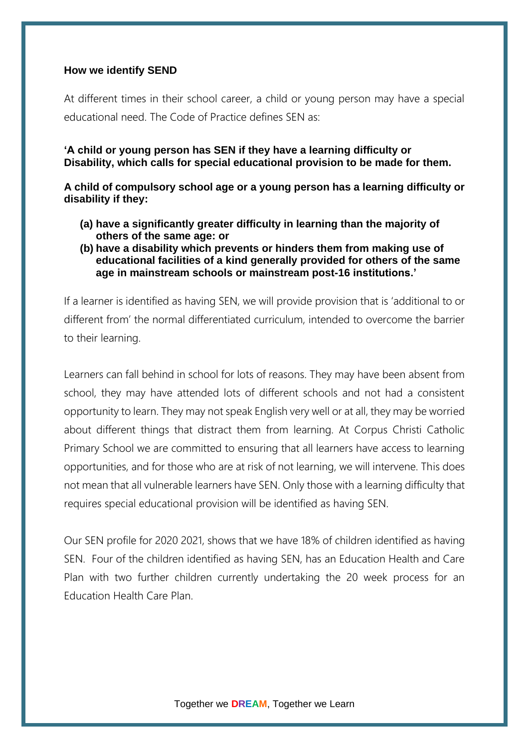#### **How we identify SEND**

At different times in their school career, a child or young person may have a special educational need. The Code of Practice defines SEN as:

**'A child or young person has SEN if they have a learning difficulty or Disability, which calls for special educational provision to be made for them.**

**A child of compulsory school age or a young person has a learning difficulty or disability if they:**

- **(a) have a significantly greater difficulty in learning than the majority of others of the same age: or**
- **(b) have a disability which prevents or hinders them from making use of educational facilities of a kind generally provided for others of the same age in mainstream schools or mainstream post-16 institutions.'**

If a learner is identified as having SEN, we will provide provision that is 'additional to or different from' the normal differentiated curriculum, intended to overcome the barrier to their learning.

Learners can fall behind in school for lots of reasons. They may have been absent from school, they may have attended lots of different schools and not had a consistent opportunity to learn. They may not speak English very well or at all, they may be worried about different things that distract them from learning. At Corpus Christi Catholic Primary School we are committed to ensuring that all learners have access to learning opportunities, and for those who are at risk of not learning, we will intervene. This does not mean that all vulnerable learners have SEN. Only those with a learning difficulty that requires special educational provision will be identified as having SEN.

Our SEN profile for 2020 2021, shows that we have 18% of children identified as having SEN. Four of the children identified as having SEN, has an Education Health and Care Plan with two further children currently undertaking the 20 week process for an Education Health Care Plan.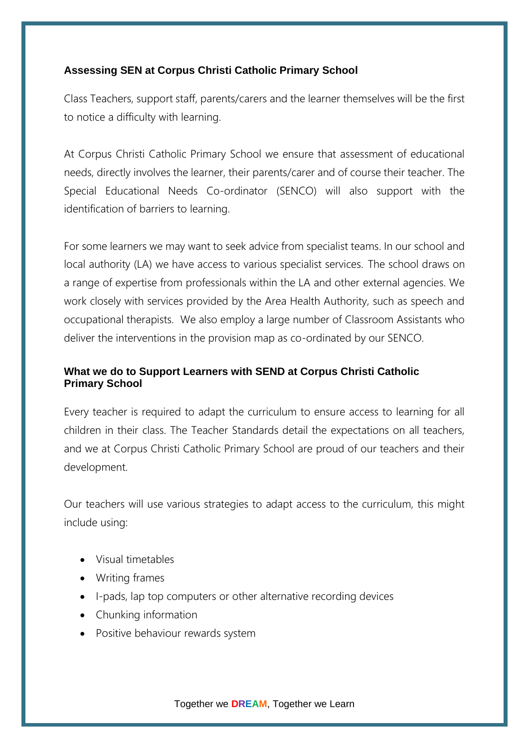# **Assessing SEN at Corpus Christi Catholic Primary School**

Class Teachers, support staff, parents/carers and the learner themselves will be the first to notice a difficulty with learning.

At Corpus Christi Catholic Primary School we ensure that assessment of educational needs, directly involves the learner, their parents/carer and of course their teacher. The Special Educational Needs Co-ordinator (SENCO) will also support with the identification of barriers to learning.

For some learners we may want to seek advice from specialist teams. In our school and local authority (LA) we have access to various specialist services. The school draws on a range of expertise from professionals within the LA and other external agencies. We work closely with services provided by the Area Health Authority, such as speech and occupational therapists. We also employ a large number of Classroom Assistants who deliver the interventions in the provision map as co-ordinated by our SENCO.

# **What we do to Support Learners with SEND at Corpus Christi Catholic Primary School**

Every teacher is required to adapt the curriculum to ensure access to learning for all children in their class. The Teacher Standards detail the expectations on all teachers, and we at Corpus Christi Catholic Primary School are proud of our teachers and their development.

Our teachers will use various strategies to adapt access to the curriculum, this might include using:

- Visual timetables
- Writing frames
- I-pads, lap top computers or other alternative recording devices
- Chunking information
- Positive behaviour rewards system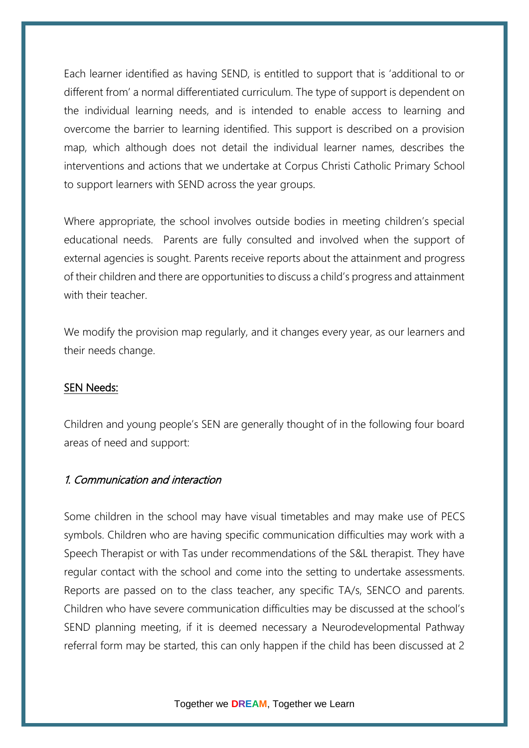Each learner identified as having SEND, is entitled to support that is 'additional to or different from' a normal differentiated curriculum. The type of support is dependent on the individual learning needs, and is intended to enable access to learning and overcome the barrier to learning identified. This support is described on a provision map, which although does not detail the individual learner names, describes the interventions and actions that we undertake at Corpus Christi Catholic Primary School to support learners with SEND across the year groups.

Where appropriate, the school involves outside bodies in meeting children's special educational needs. Parents are fully consulted and involved when the support of external agencies is sought. Parents receive reports about the attainment and progress of their children and there are opportunities to discuss a child's progress and attainment with their teacher.

We modify the provision map regularly, and it changes every year, as our learners and their needs change.

# SEN Needs:

Children and young people's SEN are generally thought of in the following four board areas of need and support:

# 1. Communication and interaction

Some children in the school may have visual timetables and may make use of PECS symbols. Children who are having specific communication difficulties may work with a Speech Therapist or with Tas under recommendations of the S&L therapist. They have regular contact with the school and come into the setting to undertake assessments. Reports are passed on to the class teacher, any specific TA/s, SENCO and parents. Children who have severe communication difficulties may be discussed at the school's SEND planning meeting, if it is deemed necessary a Neurodevelopmental Pathway referral form may be started, this can only happen if the child has been discussed at 2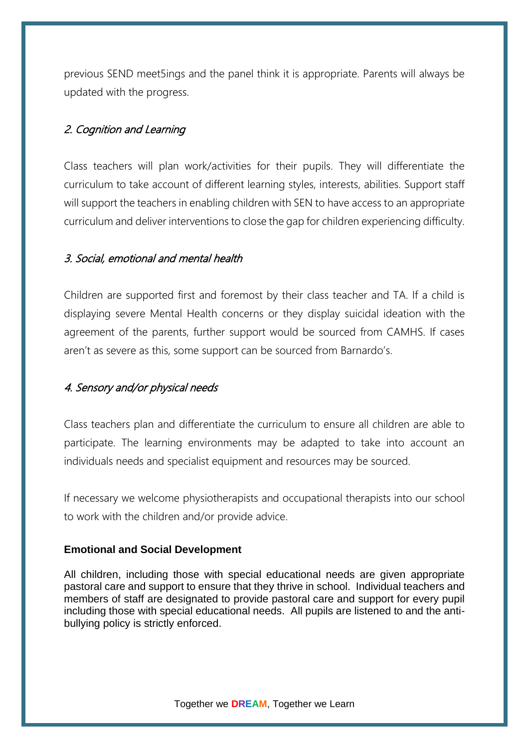previous SEND meet5ings and the panel think it is appropriate. Parents will always be updated with the progress.

# 2. Cognition and Learning

Class teachers will plan work/activities for their pupils. They will differentiate the curriculum to take account of different learning styles, interests, abilities. Support staff will support the teachers in enabling children with SEN to have access to an appropriate curriculum and deliver interventions to close the gap for children experiencing difficulty.

# 3. Social, emotional and mental health

Children are supported first and foremost by their class teacher and TA. If a child is displaying severe Mental Health concerns or they display suicidal ideation with the agreement of the parents, further support would be sourced from CAMHS. If cases aren't as severe as this, some support can be sourced from Barnardo's.

# 4. Sensory and/or physical needs

Class teachers plan and differentiate the curriculum to ensure all children are able to participate. The learning environments may be adapted to take into account an individuals needs and specialist equipment and resources may be sourced.

If necessary we welcome physiotherapists and occupational therapists into our school to work with the children and/or provide advice.

# **Emotional and Social Development**

All children, including those with special educational needs are given appropriate pastoral care and support to ensure that they thrive in school. Individual teachers and members of staff are designated to provide pastoral care and support for every pupil including those with special educational needs. All pupils are listened to and the antibullying policy is strictly enforced.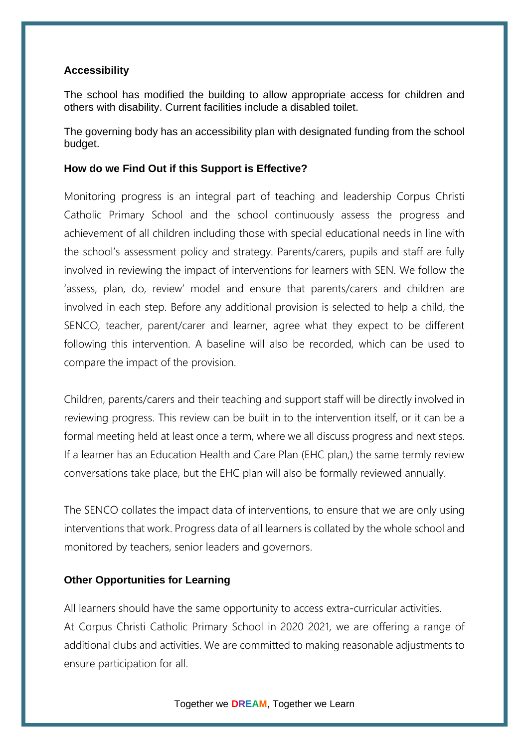### **Accessibility**

The school has modified the building to allow appropriate access for children and others with disability. Current facilities include a disabled toilet.

The governing body has an accessibility plan with designated funding from the school budget.

### **How do we Find Out if this Support is Effective?**

Monitoring progress is an integral part of teaching and leadership Corpus Christi Catholic Primary School and the school continuously assess the progress and achievement of all children including those with special educational needs in line with the school's assessment policy and strategy. Parents/carers, pupils and staff are fully involved in reviewing the impact of interventions for learners with SEN. We follow the 'assess, plan, do, review' model and ensure that parents/carers and children are involved in each step. Before any additional provision is selected to help a child, the SENCO, teacher, parent/carer and learner, agree what they expect to be different following this intervention. A baseline will also be recorded, which can be used to compare the impact of the provision.

Children, parents/carers and their teaching and support staff will be directly involved in reviewing progress. This review can be built in to the intervention itself, or it can be a formal meeting held at least once a term, where we all discuss progress and next steps. If a learner has an Education Health and Care Plan (EHC plan,) the same termly review conversations take place, but the EHC plan will also be formally reviewed annually.

The SENCO collates the impact data of interventions, to ensure that we are only using interventions that work. Progress data of all learners is collated by the whole school and monitored by teachers, senior leaders and governors.

# **Other Opportunities for Learning**

All learners should have the same opportunity to access extra-curricular activities. At Corpus Christi Catholic Primary School in 2020 2021, we are offering a range of additional clubs and activities. We are committed to making reasonable adjustments to ensure participation for all.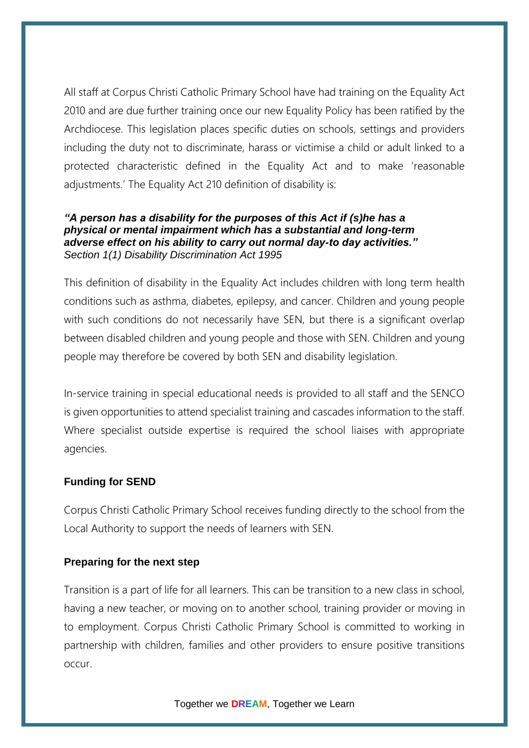All staff at Corpus Christi Catholic Primary School have had training on the Equality Act 2010 and are due further training once our new Equality Policy has been ratified by the Archdiocese. This legislation places specific duties on schools, settings and providers including the duty not to discriminate, harass or victimise a child or adult linked to a protected characteristic defined in the Equality Act and to make 'reasonable adjustments.' The Equality Act 210 definition of disability is:

### *"A person has a disability for the purposes of this Act if (s)he has a physical or mental impairment which has a substantial and long-term adverse effect on his ability to carry out normal day-to day activities." Section 1(1) Disability Discrimination Act 1995*

This definition of disability in the Equality Act includes children with long term health conditions such as asthma, diabetes, epilepsy, and cancer. Children and young people with such conditions do not necessarily have SEN, but there is a significant overlap between disabled children and young people and those with SEN. Children and young people may therefore be covered by both SEN and disability legislation.

In-service training in special educational needs is provided to all staff and the SENCO is given opportunities to attend specialist training and cascades information to the staff. Where specialist outside expertise is required the school liaises with appropriate agencies.

# **Funding for SEND**

Corpus Christi Catholic Primary School receives funding directly to the school from the Local Authority to support the needs of learners with SEN.

# **Preparing for the next step**

Transition is a part of life for all learners. This can be transition to a new class in school, having a new teacher, or moving on to another school, training provider or moving in to employment. Corpus Christi Catholic Primary School is committed to working in partnership with children, families and other providers to ensure positive transitions occur.